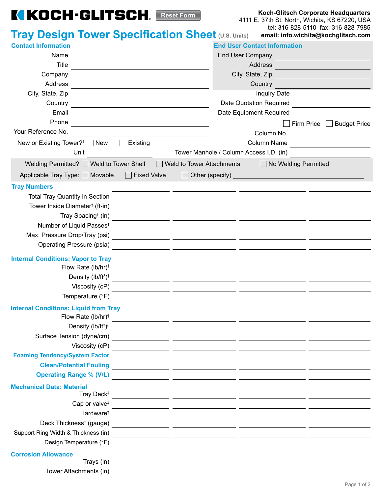## **KIKOCH-GLITSCH.** Reset Form

**Koch-Glitsch Corporate Headquarters**

4111 E. 37th St. North, Wichita, KS 67220, USA tel: 316-828-5110 fax: 316-828-7985 **email: info.wichita@kochglitsch.com**

| <b>Tray Design Tower Specification Sheet (U.S. Units)</b>                                                                                                                                                                                | email: info.wichita@kochglitsch.com                                                                                             |
|------------------------------------------------------------------------------------------------------------------------------------------------------------------------------------------------------------------------------------------|---------------------------------------------------------------------------------------------------------------------------------|
| <b>Contact Information</b>                                                                                                                                                                                                               | <b>End User Contact Information</b>                                                                                             |
| Name                                                                                                                                                                                                                                     | End User Company                                                                                                                |
| <b>Title</b>                                                                                                                                                                                                                             | Address                                                                                                                         |
| Company                                                                                                                                                                                                                                  | City, State, Zip                                                                                                                |
| Address                                                                                                                                                                                                                                  | Country                                                                                                                         |
| City, State, Zip                                                                                                                                                                                                                         | <b>Inquiry Date</b>                                                                                                             |
| Country<br>the control of the control of the control of the control of the control of the control of the control of the control of the control of the control of the control of the control of the control of the control of the control | Date Quotation Required                                                                                                         |
| Email                                                                                                                                                                                                                                    | Date Equipment Required                                                                                                         |
| Phone                                                                                                                                                                                                                                    | Firm Price Budget Price                                                                                                         |
| Your Reference No.                                                                                                                                                                                                                       | Column No.<br><u> 1989 - Andrea State Barbara, amerikan per</u>                                                                 |
| New or Existing Tower? <sup>1</sup> $\Box$ New<br>Existing<br>$\Box$                                                                                                                                                                     | Column Name                                                                                                                     |
| Unit                                                                                                                                                                                                                                     | Tower Manhole / Column Access I.D. (in)                                                                                         |
| Welding Permitted? Weld to Tower Shell                                                                                                                                                                                                   | Weld to Tower Attachments<br>No Welding Permitted                                                                               |
| Applicable Tray Type: □ Movable<br>$\Box$ Fixed Valve                                                                                                                                                                                    | $\Box$ Other (specify)<br><u> 1989 - Johann Barbara, martxa alemaniar a</u>                                                     |
| <b>Tray Numbers</b>                                                                                                                                                                                                                      |                                                                                                                                 |
| <b>Total Tray Quantity in Section</b>                                                                                                                                                                                                    |                                                                                                                                 |
| Tower Inside Diameter <sup>†</sup> (ft-in)                                                                                                                                                                                               |                                                                                                                                 |
| Tray Spacing <sup>†</sup> (in)                                                                                                                                                                                                           |                                                                                                                                 |
| Number of Liquid Passes <sup>+</sup>                                                                                                                                                                                                     |                                                                                                                                 |
| Max. Pressure Drop/Tray (psi)                                                                                                                                                                                                            |                                                                                                                                 |
| Operating Pressure (psia)                                                                                                                                                                                                                |                                                                                                                                 |
| <b>Internal Conditions: Vapor to Tray</b>                                                                                                                                                                                                |                                                                                                                                 |
| Flow Rate (lb/hr) <sup>§</sup>                                                                                                                                                                                                           | <u> 1989 - Andrea State Barbara, ann an Cathair ann an Càranachd ann an t-Aonaichte ann an t-Aonaichte ann an t-Ao</u>          |
| Density (lb/ft <sup>3)§</sup>                                                                                                                                                                                                            | <u> 1989 - Andrea Station, amerikansk politiker (d. 1989)</u>                                                                   |
| Viscosity (cP)                                                                                                                                                                                                                           | <u> 1989 - Johann John Stein, markin fan it ferskearre fan it ferskearre fan it ferskearre fan it ferskearre fan</u>            |
| Temperature (°F)                                                                                                                                                                                                                         | <u> 1980 - Jan James James, martin a</u>                                                                                        |
| <b>Internal Conditions: Liquid from Tray</b>                                                                                                                                                                                             |                                                                                                                                 |
| Flow Rate (lb/hr) $\frac{1}{3}$                                                                                                                                                                                                          | <u> 1989 - Johann John Stone, mars eta inperiodo eta inperiodo eta inperiodo eta inperiodo eta inperiodo eta inp</u>            |
|                                                                                                                                                                                                                                          |                                                                                                                                 |
| Surface Tension (dyne/cm)                                                                                                                                                                                                                |                                                                                                                                 |
| Viscosity (cP)                                                                                                                                                                                                                           | <u> 1989 - Andrea Station, prima anticola e a contra a contra a contra a contra a contra a contra a contra a con</u>            |
| <b>Foaming Tendency/System Factor</b>                                                                                                                                                                                                    |                                                                                                                                 |
|                                                                                                                                                                                                                                          | Clean/Potential Fouling<br><br><br><br><br><br><br><br><br><br><br><br><br><br><br><br><br><br><br><br><br><br><br><br><br><br> |
| Operating Range % (V/L)<br><u> Character and Constantine and Constantine and Constantine and Constantine and Constantine and Constantine and Constantine and Constantine and Constantine and Constantine and Constantine and Const</u>   |                                                                                                                                 |
| <b>Mechanical Data: Material</b>                                                                                                                                                                                                         |                                                                                                                                 |
| Tray Deck <sup>‡</sup>                                                                                                                                                                                                                   | <u> 1989 - Andrea San Andrea Andrea Andrea Andrea Andrea Andrea Andrea Andrea Andrea Andrea Andrea Andrea Andrea</u>            |
| Cap or valve <sup>#</sup>                                                                                                                                                                                                                |                                                                                                                                 |
|                                                                                                                                                                                                                                          |                                                                                                                                 |
| Deck Thickness <sup>†</sup> (gauge)                                                                                                                                                                                                      |                                                                                                                                 |
| Support Ring Width & Thickness (in)<br>Design Temperature (°F)                                                                                                                                                                           |                                                                                                                                 |
|                                                                                                                                                                                                                                          | <u> 1980 - Antonio Alemania, prima postala provincia prima prima prima prima prima prima prima prima prima prima</u>            |
| <b>Corrosion Allowance</b>                                                                                                                                                                                                               |                                                                                                                                 |
| Tower Attachments (in)                                                                                                                                                                                                                   |                                                                                                                                 |
|                                                                                                                                                                                                                                          |                                                                                                                                 |